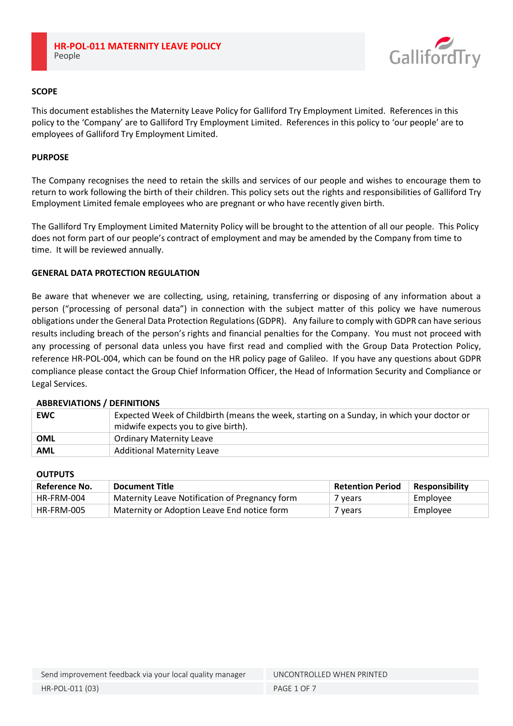

## **SCOPE**

This document establishes the Maternity Leave Policy for Galliford Try Employment Limited. References in this policy to the 'Company' are to Galliford Try Employment Limited. References in this policy to 'our people' are to employees of Galliford Try Employment Limited.

## **PURPOSE**

The Company recognises the need to retain the skills and services of our people and wishes to encourage them to return to work following the birth of their children. This policy sets out the rights and responsibilities of Galliford Try Employment Limited female employees who are pregnant or who have recently given birth.

The Galliford Try Employment Limited Maternity Policy will be brought to the attention of all our people. This Policy does not form part of our people's contract of employment and may be amended by the Company from time to time. It will be reviewed annually.

### **GENERAL DATA PROTECTION REGULATION**

Be aware that whenever we are collecting, using, retaining, transferring or disposing of any information about a person ("processing of personal data") in connection with the subject matter of this policy we have numerous obligations under the General Data Protection Regulations (GDPR). Any failure to comply with GDPR can have serious results including breach of the person's rights and financial penalties for the Company. You must not proceed with any processing of personal data unless you have first read and complied with the Group Data Protection Policy, reference HR-POL-004, which can be found on the HR policy page of Galileo. If you have any questions about GDPR compliance please contact the Group Chief Information Officer, the Head of Information Security and Compliance or Legal Services.

### **ABBREVIATIONS / DEFINITIONS**

| <b>EWC</b> | Expected Week of Childbirth (means the week, starting on a Sunday, in which your doctor or<br>$\pm$ midwife expects you to give birth). |  |  |
|------------|-----------------------------------------------------------------------------------------------------------------------------------------|--|--|
|            |                                                                                                                                         |  |  |
| <b>OML</b> | <b>Ordinary Maternity Leave</b>                                                                                                         |  |  |
| <b>AML</b> | <b>Additional Maternity Leave</b>                                                                                                       |  |  |

### **OUTPUTS**

| Reference No. | Document Title                                 | <b>Retention Period</b> | <b>Responsibility</b> |
|---------------|------------------------------------------------|-------------------------|-----------------------|
| HR-FRM-004    | Maternity Leave Notification of Pregnancy form | 7 years                 | Employee              |
| HR-FRM-005    | Maternity or Adoption Leave End notice form    | 7 years                 | Employee              |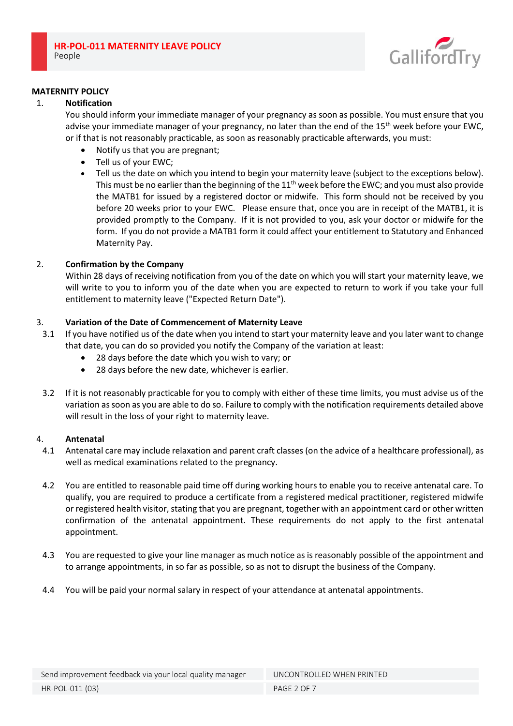

#### **MATERNITY POLICY**

#### 1. **Notification**

You should inform your immediate manager of your pregnancy as soon as possible. You must ensure that you advise your immediate manager of your pregnancy, no later than the end of the 15<sup>th</sup> week before your EWC, or if that is not reasonably practicable, as soon as reasonably practicable afterwards, you must:

- Notify us that you are pregnant;
- Tell us of your EWC;
- Tell us the date on which you intend to begin your maternity leave (subject to the exceptions below). This must be no earlier than the beginning of the  $11<sup>th</sup>$  week before the EWC; and you must also provide the MATB1 for issued by a registered doctor or midwife. This form should not be received by you before 20 weeks prior to your EWC. Please ensure that, once you are in receipt of the MATB1, it is provided promptly to the Company. If it is not provided to you, ask your doctor or midwife for the form. If you do not provide a MATB1 form it could affect your entitlement to Statutory and Enhanced Maternity Pay.

### 2. **Confirmation by the Company**

Within 28 days of receiving notification from you of the date on which you will start your maternity leave, we will write to you to inform you of the date when you are expected to return to work if you take your full entitlement to maternity leave ("Expected Return Date").

### 3. **Variation of the Date of Commencement of Maternity Leave**

- 3.1 If you have notified us of the date when you intend to start your maternity leave and you later want to change that date, you can do so provided you notify the Company of the variation at least:
	- 28 days before the date which you wish to vary; or
	- 28 days before the new date, whichever is earlier.
- 3.2 If it is not reasonably practicable for you to comply with either of these time limits, you must advise us of the variation as soon as you are able to do so. Failure to comply with the notification requirements detailed above will result in the loss of your right to maternity leave.

### 4. **Antenatal**

- 4.1 Antenatal care may include relaxation and parent craft classes (on the advice of a healthcare professional), as well as medical examinations related to the pregnancy.
- 4.2 You are entitled to reasonable paid time off during working hours to enable you to receive antenatal care. To qualify, you are required to produce a certificate from a registered medical practitioner, registered midwife or registered health visitor, stating that you are pregnant, together with an appointment card or other written confirmation of the antenatal appointment. These requirements do not apply to the first antenatal appointment.
- 4.3 You are requested to give your line manager as much notice as is reasonably possible of the appointment and to arrange appointments, in so far as possible, so as not to disrupt the business of the Company.
- 4.4 You will be paid your normal salary in respect of your attendance at antenatal appointments.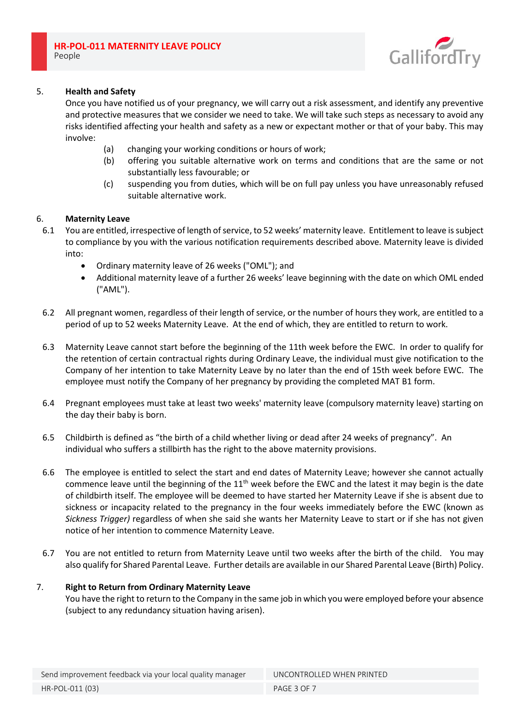

## 5. **Health and Safety**

Once you have notified us of your pregnancy, we will carry out a risk assessment, and identify any preventive and protective measures that we consider we need to take. We will take such steps as necessary to avoid any risks identified affecting your health and safety as a new or expectant mother or that of your baby. This may involve:

- (a) changing your working conditions or hours of work;
- (b) offering you suitable alternative work on terms and conditions that are the same or not substantially less favourable; or
- (c) suspending you from duties, which will be on full pay unless you have unreasonably refused suitable alternative work.

### 6. **Maternity Leave**

- 6.1 You are entitled, irrespective of length of service, to 52 weeks' maternity leave. Entitlement to leave is subject to compliance by you with the various notification requirements described above. Maternity leave is divided into:
	- Ordinary maternity leave of 26 weeks ("OML"); and
	- Additional maternity leave of a further 26 weeks' leave beginning with the date on which OML ended ("AML").
- 6.2 All pregnant women, regardless of their length of service, or the number of hours they work, are entitled to a period of up to 52 weeks Maternity Leave. At the end of which, they are entitled to return to work.
- 6.3 Maternity Leave cannot start before the beginning of the 11th week before the EWC. In order to qualify for the retention of certain contractual rights during Ordinary Leave, the individual must give notification to the Company of her intention to take Maternity Leave by no later than the end of 15th week before EWC. The employee must notify the Company of her pregnancy by providing the completed MAT B1 form.
- 6.4 Pregnant employees must take at least two weeks' maternity leave (compulsory maternity leave) starting on the day their baby is born.
- 6.5 Childbirth is defined as "the birth of a child whether living or dead after 24 weeks of pregnancy". An individual who suffers a stillbirth has the right to the above maternity provisions.
- 6.6 The employee is entitled to select the start and end dates of Maternity Leave; however she cannot actually commence leave until the beginning of the 11<sup>th</sup> week before the EWC and the latest it may begin is the date of childbirth itself. The employee will be deemed to have started her Maternity Leave if she is absent due to sickness or incapacity related to the pregnancy in the four weeks immediately before the EWC (known as *Sickness Trigger)* regardless of when she said she wants her Maternity Leave to start or if she has not given notice of her intention to commence Maternity Leave.
- 6.7 You are not entitled to return from Maternity Leave until two weeks after the birth of the child. You may also qualify for Shared Parental Leave. Further details are available in our Shared Parental Leave (Birth) Policy.

### 7. **Right to Return from Ordinary Maternity Leave**

You have the right to return to the Company in the same job in which you were employed before your absence (subject to any redundancy situation having arisen).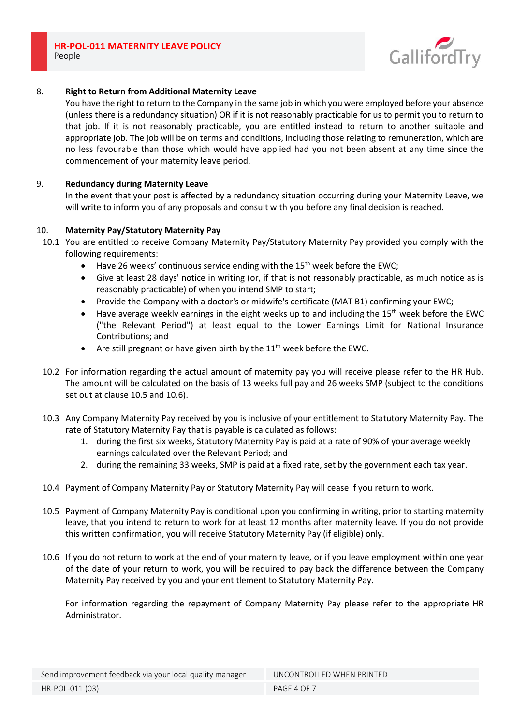

## 8. **Right to Return from Additional Maternity Leave**

You have the right to return to the Company in the same job in which you were employed before your absence (unless there is a redundancy situation) OR if it is not reasonably practicable for us to permit you to return to that job. If it is not reasonably practicable, you are entitled instead to return to another suitable and appropriate job. The job will be on terms and conditions, including those relating to remuneration, which are no less favourable than those which would have applied had you not been absent at any time since the commencement of your maternity leave period.

### 9. **Redundancy during Maternity Leave**

In the event that your post is affected by a redundancy situation occurring during your Maternity Leave, we will write to inform you of any proposals and consult with you before any final decision is reached.

#### 10. **Maternity Pay/Statutory Maternity Pay**

- 10.1 You are entitled to receive Company Maternity Pay/Statutory Maternity Pay provided you comply with the following requirements:
	- Have 26 weeks' continuous service ending with the 15<sup>th</sup> week before the EWC;
	- Give at least 28 days' notice in writing (or, if that is not reasonably practicable, as much notice as is reasonably practicable) of when you intend SMP to start;
	- Provide the Company with a doctor's or midwife's certificate (MAT B1) confirming your EWC;
	- Have average weekly earnings in the eight weeks up to and including the  $15<sup>th</sup>$  week before the EWC ("the Relevant Period") at least equal to the Lower Earnings Limit for National Insurance Contributions; and
	- Are still pregnant or have given birth by the  $11<sup>th</sup>$  week before the EWC.
- 10.2 For information regarding the actual amount of maternity pay you will receive please refer to the HR Hub. The amount will be calculated on the basis of 13 weeks full pay and 26 weeks SMP (subject to the conditions set out at clause 10.5 and 10.6).
- 10.3 Any Company Maternity Pay received by you is inclusive of your entitlement to Statutory Maternity Pay. The rate of Statutory Maternity Pay that is payable is calculated as follows:
	- 1. during the first six weeks, Statutory Maternity Pay is paid at a rate of 90% of your average weekly earnings calculated over the Relevant Period; and
	- 2. during the remaining 33 weeks, SMP is paid at a fixed rate, set by the government each tax year.
- 10.4 Payment of Company Maternity Pay or Statutory Maternity Pay will cease if you return to work.
- 10.5 Payment of Company Maternity Pay is conditional upon you confirming in writing, prior to starting maternity leave, that you intend to return to work for at least 12 months after maternity leave. If you do not provide this written confirmation, you will receive Statutory Maternity Pay (if eligible) only.
- 10.6 If you do not return to work at the end of your maternity leave, or if you leave employment within one year of the date of your return to work, you will be required to pay back the difference between the Company Maternity Pay received by you and your entitlement to Statutory Maternity Pay.

For information regarding the repayment of Company Maternity Pay please refer to the appropriate HR Administrator.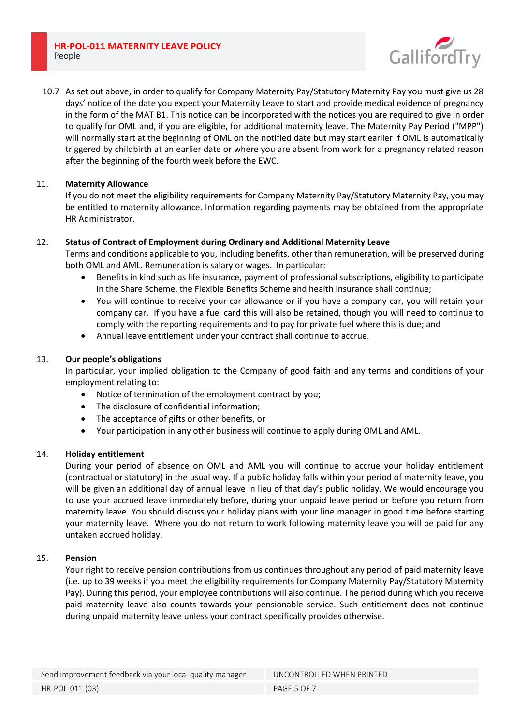**HR-POL-011 MATERNITY LEAVE POLICY** People



10.7 As set out above, in order to qualify for Company Maternity Pay/Statutory Maternity Pay you must give us 28 days' notice of the date you expect your Maternity Leave to start and provide medical evidence of pregnancy in the form of the MAT B1. This notice can be incorporated with the notices you are required to give in order to qualify for OML and, if you are eligible, for additional maternity leave. The Maternity Pay Period ("MPP") will normally start at the beginning of OML on the notified date but may start earlier if OML is automatically triggered by childbirth at an earlier date or where you are absent from work for a pregnancy related reason after the beginning of the fourth week before the EWC.

## 11. **Maternity Allowance**

If you do not meet the eligibility requirements for Company Maternity Pay/Statutory Maternity Pay, you may be entitled to maternity allowance. Information regarding payments may be obtained from the appropriate HR Administrator.

## 12. **Status of Contract of Employment during Ordinary and Additional Maternity Leave**

Terms and conditions applicable to you, including benefits, other than remuneration, will be preserved during both OML and AML. Remuneration is salary or wages. In particular:

- Benefits in kind such as life insurance, payment of professional subscriptions, eligibility to participate in the Share Scheme, the Flexible Benefits Scheme and health insurance shall continue;
- You will continue to receive your car allowance or if you have a company car, you will retain your company car. If you have a fuel card this will also be retained, though you will need to continue to comply with the reporting requirements and to pay for private fuel where this is due; and
- Annual leave entitlement under your contract shall continue to accrue.

# 13. **Our people's obligations**

In particular, your implied obligation to the Company of good faith and any terms and conditions of your employment relating to:

- Notice of termination of the employment contract by you;
- The disclosure of confidential information;
- The acceptance of gifts or other benefits, or
- Your participation in any other business will continue to apply during OML and AML.

### 14. **Holiday entitlement**

During your period of absence on OML and AML you will continue to accrue your holiday entitlement (contractual or statutory) in the usual way. If a public holiday falls within your period of maternity leave, you will be given an additional day of annual leave in lieu of that day's public holiday. We would encourage you to use your accrued leave immediately before, during your unpaid leave period or before you return from maternity leave. You should discuss your holiday plans with your line manager in good time before starting your maternity leave. Where you do not return to work following maternity leave you will be paid for any untaken accrued holiday.

### 15. **Pension**

Your right to receive pension contributions from us continues throughout any period of paid maternity leave (i.e. up to 39 weeks if you meet the eligibility requirements for Company Maternity Pay/Statutory Maternity Pay). During this period, your employee contributions will also continue. The period during which you receive paid maternity leave also counts towards your pensionable service. Such entitlement does not continue during unpaid maternity leave unless your contract specifically provides otherwise.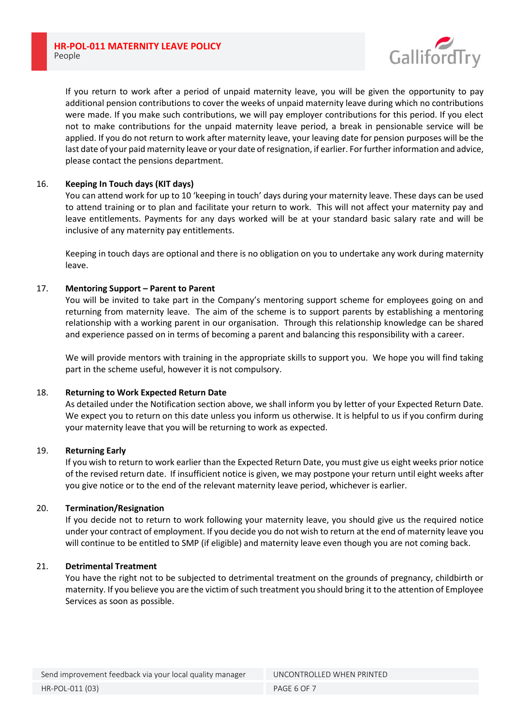

If you return to work after a period of unpaid maternity leave, you will be given the opportunity to pay additional pension contributions to cover the weeks of unpaid maternity leave during which no contributions were made. If you make such contributions, we will pay employer contributions for this period. If you elect not to make contributions for the unpaid maternity leave period, a break in pensionable service will be applied. If you do not return to work after maternity leave, your leaving date for pension purposes will be the last date of your paid maternity leave or your date of resignation, if earlier. For further information and advice, please contact the pensions department.

### 16. **Keeping In Touch days (KIT days)**

You can attend work for up to 10 'keeping in touch' days during your maternity leave. These days can be used to attend training or to plan and facilitate your return to work. This will not affect your maternity pay and leave entitlements. Payments for any days worked will be at your standard basic salary rate and will be inclusive of any maternity pay entitlements.

Keeping in touch days are optional and there is no obligation on you to undertake any work during maternity leave.

## 17. **Mentoring Support – Parent to Parent**

You will be invited to take part in the Company's mentoring support scheme for employees going on and returning from maternity leave. The aim of the scheme is to support parents by establishing a mentoring relationship with a working parent in our organisation. Through this relationship knowledge can be shared and experience passed on in terms of becoming a parent and balancing this responsibility with a career.

We will provide mentors with training in the appropriate skills to support you. We hope you will find taking part in the scheme useful, however it is not compulsory.

### 18. **Returning to Work Expected Return Date**

As detailed under the Notification section above, we shall inform you by letter of your Expected Return Date. We expect you to return on this date unless you inform us otherwise. It is helpful to us if you confirm during your maternity leave that you will be returning to work as expected.

### 19. **Returning Early**

If you wish to return to work earlier than the Expected Return Date, you must give us eight weeks prior notice of the revised return date. If insufficient notice is given, we may postpone your return until eight weeks after you give notice or to the end of the relevant maternity leave period, whichever is earlier.

### 20. **Termination/Resignation**

If you decide not to return to work following your maternity leave, you should give us the required notice under your contract of employment. If you decide you do not wish to return at the end of maternity leave you will continue to be entitled to SMP (if eligible) and maternity leave even though you are not coming back.

### 21. **Detrimental Treatment**

You have the right not to be subjected to detrimental treatment on the grounds of pregnancy, childbirth or maternity. If you believe you are the victim of such treatment you should bring it to the attention of Employee Services as soon as possible.